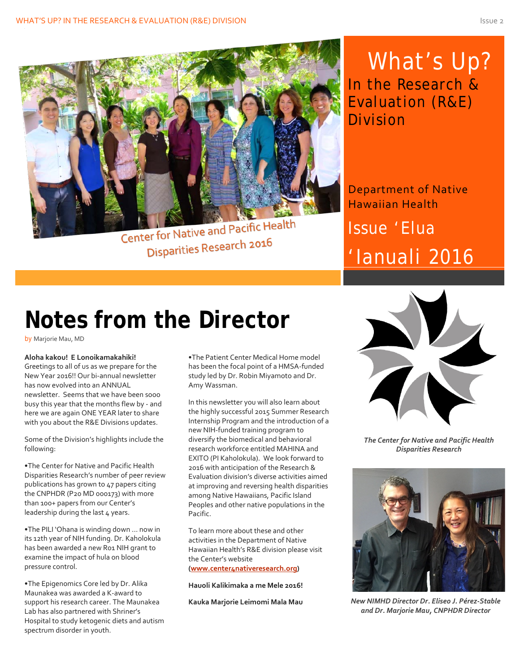

Center for Native and Pacific Health Disparities Research 2016

## What's Up? In the Research & Evaluation (R&E) Division

Department of Native Hawaiian Health Issue 'Elua 'Ianuali 2016

# **Notes from the Director**

by Marjorie Mau, MD

#### **Aloha kakou! E Lonoikamakahiki!**

Greetings to all of us as we prepare for the New Year 2016!! Our bi-annual newsletter has now evolved into an ANNUAL newsletter. Seems that we have been sooo busy this year that the months flew by - and here we are again ONE YEAR later to share with you about the R&E Divisions updates.

Some of the Division's highlights include the following:

**•**The Center for Native and Pacific Health Disparities Research's number of peer review publications has grown to 47 papers citing the CNPHDR (P20 MD 000173) with more than 100+ papers from our Center's leadership during the last 4 years.

**•**The PILI 'Ohana is winding down … now in its 12th year of NIH funding. Dr. Kaholokula has been awarded a new R01 NIH grant to examine the impact of hula on blood pressure control.

**•**The Epigenomics Core led by Dr. Alika Maunakea was awarded a K-award to support his research career. The Maunakea Lab has also partnered with Shriner's Hospital to study ketogenic diets and autism spectrum disorder in youth.

**•**The Patient Center Medical Home model has been the focal point of a HMSA-funded study led by Dr. Robin Miyamoto and Dr. Amy Wassman.

In this newsletter you will also learn about the highly successful 2015 Summer Research Internship Program and the introduction of a new NIH-funded training program to diversify the biomedical and behavioral research workforce entitled MAHINA and EXITO (PI Kaholokula). We look forward to 2016 with anticipation of the Research & Evaluation division's diverse activities aimed at improving and reversing health disparities among Native Hawaiians, Pacific Island Peoples and other native populations in the Pacific.

To learn more about these and other activities in the Department of Native Hawaiian Health's R&E division please visit the Center's website **[\(www.center4nativeresearch.org\)](http://www.center4nativeresearch.org/)**

**Hauoli Kalikimaka a me Mele 2016!** 

**Kauka Marjorie Leimomi Mala Mau**



*The Center for Native and Pacific Health Disparities Research*



*New NIMHD Director Dr. Eliseo J. Pérez-Stable and Dr. Marjorie Mau, CNPHDR Director*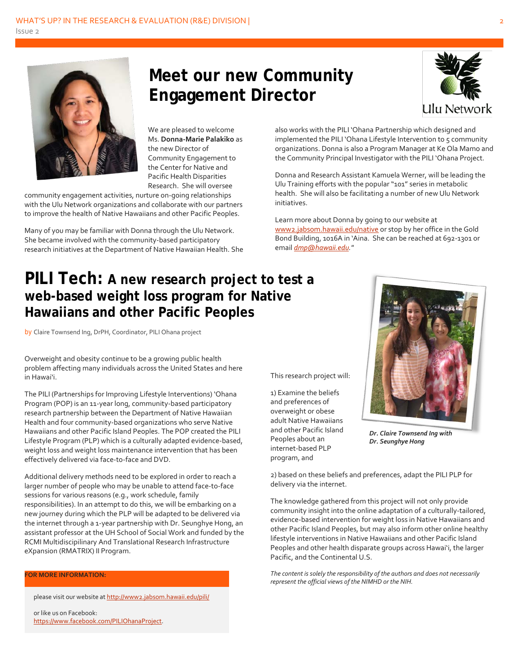

**Meet our new Community Engagement Director**



We are pleased to welcome Ms. **Donna-Marie Palakiko** as the new Director of Community Engagement to the Center for Native and Pacific Health Disparities Research. She will oversee

community engagement activities, nurture on-going relationships with the Ulu Network organizations and collaborate with our partners to improve the health of Native Hawaiians and other Pacific Peoples.

Many of you may be familiar with Donna through the Ulu Network. She became involved with the community-based participatory research initiatives at the Department of Native Hawaiian Health. She also works with the PILI 'Ohana Partnership which designed and implemented the PILI 'Ohana Lifestyle Intervention to 5 community organizations. Donna is also a Program Manager at Ke Ola Mamo and the Community Principal Investigator with the PILI 'Ohana Project.

Donna and Research Assistant Kamuela Werner, will be leading the Ulu Training efforts with the popular "101" series in metabolic health. She will also be facilitating a number of new Ulu Network initiatives.

Learn more about Donna by going to our website at [www2.jabsom.hawaii.edu/native](http://www.jabsom.edu/native) or stop by her office in the Gold Bond Building, 1016A in 'Aina. She can be reached at 692-1301 or email *[dmp@hawaii.edu.](mailto:dmp@hawaii.edu)"*

### **PILI Tech: A new research project to test a web-based weight loss program for Native Hawaiians and other Pacific Peoples**

by Claire Townsend Ing, DrPH, Coordinator, PILI Ohana project

Overweight and obesity continue to be a growing public health problem affecting many individuals across the United States and here in Hawai'i.

The PILI (Partnerships for Improving Lifestyle Interventions) 'Ohana Program (POP) is an 11-year long, community-based participatory research partnership between the Department of Native Hawaiian Health and four community-based organizations who serve Native Hawaiians and other Pacific Island Peoples. The POP created the PILI Lifestyle Program (PLP) which is a culturally adapted evidence-based, weight loss and weight loss maintenance intervention that has been effectively delivered via face-to-face and DVD.

Additional delivery methods need to be explored in order to reach a larger number of people who may be unable to attend face-to-face sessions for various reasons (e.g., work schedule, family responsibilities). In an attempt to do this, we will be embarking on a new journey during which the PLP will be adapted to be delivered via the internet through a 1-year partnership with Dr. Seunghye Hong, an assistant professor at the UH School of Social Work and funded by the RCMI Multidiscipilinary And Translational Research Infrastructure eXpansion (RMATRIX) II Program.

#### **FOR MORE INFORMATION:**

please visit our website a[t http://www2.jabsom.hawaii.edu/pili/](http://www2.jabsom.hawaii.edu/pili/)

or like us on Facebook: [https://www.facebook.com/PILIOhanaProject.](https://www.facebook.com/PILIOhanaProject) This research project will:

1) Examine the beliefs and preferences of overweight or obese adult Native Hawaiians and other Pacific Island Peoples about an internet-based PLP program, and



*Dr. Claire Townsend Ing with Dr. Seunghye Hong*

2) based on these beliefs and preferences, adapt the PILI PLP for delivery via the internet.

The knowledge gathered from this project will not only provide community insight into the online adaptation of a culturally-tailored, evidence-based intervention for weight loss in Native Hawaiians and other Pacific Island Peoples, but may also inform other online healthy lifestyle interventions in Native Hawaiians and other Pacific Island Peoples and other health disparate groups across Hawai'i, the larger Pacific, and the Continental U.S.

*The content is solely the responsibility of the authors and does not necessarily represent the official views of the NIMHD or the NIH.*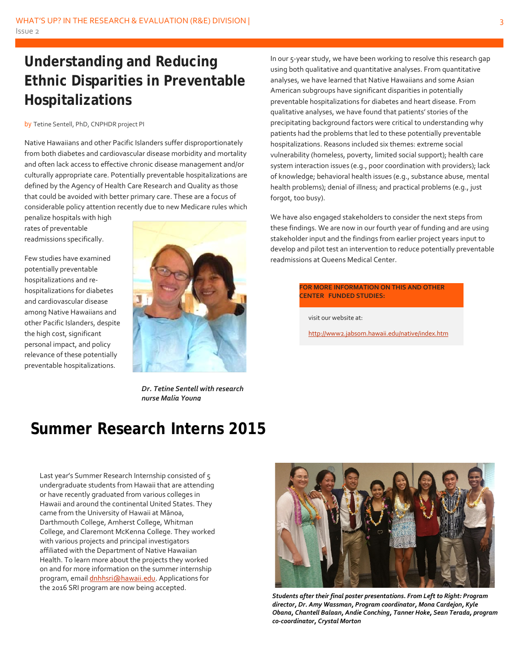### **Understanding and Reducing Ethnic Disparities in Preventable Hospitalizations**

by Tetine Sentell, PhD, CNPHDR project PI

Native Hawaiians and other Pacific Islanders suffer disproportionately from both diabetes and cardiovascular disease morbidity and mortality and often lack access to effective chronic disease management and/or culturally appropriate care. Potentially preventable hospitalizations are defined by the Agency of Health Care Research and Quality as those that could be avoided with better primary care. These are a focus of considerable policy attention recently due to new Medicare rules which

penalize hospitals with high rates of preventable readmissions specifically.

Few studies have examined potentially preventable hospitalizations and rehospitalizations for diabetes and cardiovascular disease among Native Hawaiians and other Pacific Islanders, despite the high cost, significant personal impact, and policy relevance of these potentially preventable hospitalizations.



*Dr. Tetine Sentell with research nurse Malia Young*

### **Summer Research Interns 2015**

Last year's Summer Research Internship consisted of 5 undergraduate students from Hawaii that are attending or have recently graduated from various colleges in Hawaii and around the continental United States. They came from the University of Hawaii at Mānoa, Darthmouth College, Amherst College, Whitman College, and Claremont McKenna College. They worked with various projects and principal investigators affiliated with the Department of Native Hawaiian Health. To learn more about the projects they worked on and for more information on the summer internship program, email *dnhhsri@hawaii.edu*. Applications for the 2016 SRI program are now being accepted.

In our 5-year study, we have been working to resolve this research gap using both qualitative and quantitative analyses. From quantitative analyses, we have learned that Native Hawaiians and some Asian American subgroups have significant disparities in potentially preventable hospitalizations for diabetes and heart disease. From qualitative analyses, we have found that patients' stories of the precipitating background factors were critical to understanding why patients had the problems that led to these potentially preventable hospitalizations. Reasons included six themes: extreme social vulnerability (homeless, poverty, limited social support); health care system interaction issues (e.g., poor coordination with providers); lack of knowledge; behavioral health issues (e.g., substance abuse, mental

We have also engaged stakeholders to consider the next steps from these findings. We are now in our fourth year of funding and are using stakeholder input and the findings from earlier project years input to develop and pilot test an intervention to reduce potentially preventable readmissions at Queens Medical Center.

health problems); denial of illness; and practical problems (e.g., just

**FOR MORE INFORMATION ON THIS AND OTHER CENTER FUNDED STUDIES:**

visit our website at:

forgot, too busy).

<http://www2.jabsom.hawaii.edu/native/index.htm>



*Students after their final poster presentations. From Left to Right: Program director, Dr. Amy Wassman, Program coordinator, Mona Cardejon, Kyle Obana, Chantell Balaan, Andie Conching, Tanner Hoke, Sean Terada, program co-coordinator, Crystal Morton*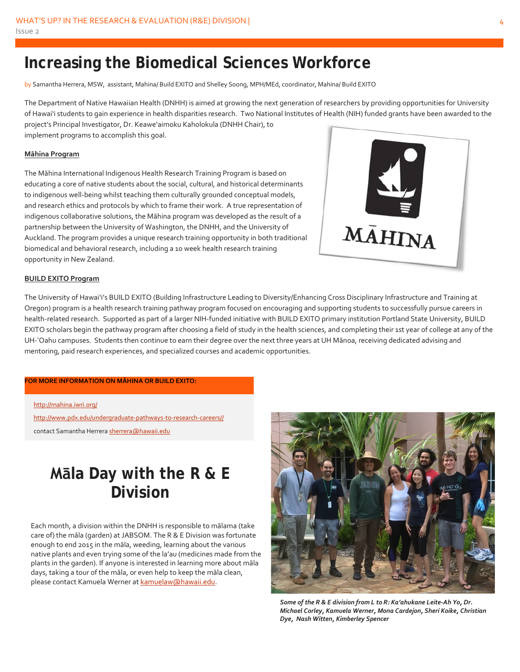### **Increasing the Biomedical Sciences Workforce**

by Samantha Herrera, MSW, assistant, Mahina/ Build EXITO and Shelley Soong, MPH/MEd, coordinator, Mahina/ Build EXITO

The Department of Native Hawaiian Health (DNHH) is aimed at growing the next generation of researchers by providing opportunities for University of Hawai'i students to gain experience in health disparities research. Two National Institutes of Health (NIH) funded grants have been awarded to the project's Principal Investigator, Dr. Keawe'aimoku Kaholokula (DNHH Chair), to

implement programs to accomplish this goal.

#### **Māhina Program**

The Māhina International Indigenous Health Research Training Program is based on educating a core of native students about the social, cultural, and historical determinants to indigenous well-being whilst teaching them culturally grounded conceptual models, and research ethics and protocols by which to frame their work. A true representation of indigenous collaborative solutions, the Māhina program was developed as the result of a partnership between the University of Washington, the DNHH, and the University of Auckland. The program provides a unique research training opportunity in both traditional biomedical and behavioral research, including a 10 week health research training opportunity in New Zealand.



#### **BUILD EXITO Program**

The University of Hawai'i's BUILD EXITO (Building Infrastructure Leading to Diversity/Enhancing Cross Disciplinary Infrastructure and Training at Oregon) program is a health research training pathway program focused on encouraging and supporting students to successfully pursue careers in health-related research. Supported as part of a larger NIH-funded initiative with BUILD EXITO primary institution Portland State University, BUILD EXITO scholars begin the pathway program after choosing a field of study in the health sciences, and completing their 1st year of college at any of the UH-ʻOahu campuses. Students then continue to earn their degree over the next three years at UH Mānoa, receiving dedicated advising and mentoring, paid research experiences, and specialized courses and academic opportunities.

#### **FOR MORE INFORMATION ON MĀHINA OR BUILD EXITO:**

#### <http://mahina.iwri.org/>

[http://www.pdx.edu/undergraduate-pathways-to-research-careers//](http://www.pdx.edu/undergraduate-pathways-to-research-careers/) contact Samantha Herrer[a sherrera@hawaii.edu](mailto:sherrera@hawaii.edu)

### **Māla Day with the R & E Division**

Each month, a division within the DNHH is responsible to mālama (take care of) the māla (garden) at JABSOM. The R & E Division was fortunate enough to end 2015 in the māla, weeding, learning about the various native plants and even trying some of the la'au (medicines made from the plants in the garden). If anyone is interested in learning more about māla days, taking a tour of the māla, or even help to keep the māla clean, please contact Kamuela Werner at kamuelaw@hawaii.edu.



*Some of the R & E division from L to R: Ka'ahukane Leite-Ah Yo, Dr. Michael Corley, Kamuela Werner, Mona Cardejon, Sheri Koike, Christian Dye, Nash Witten, Kimberley Spencer*